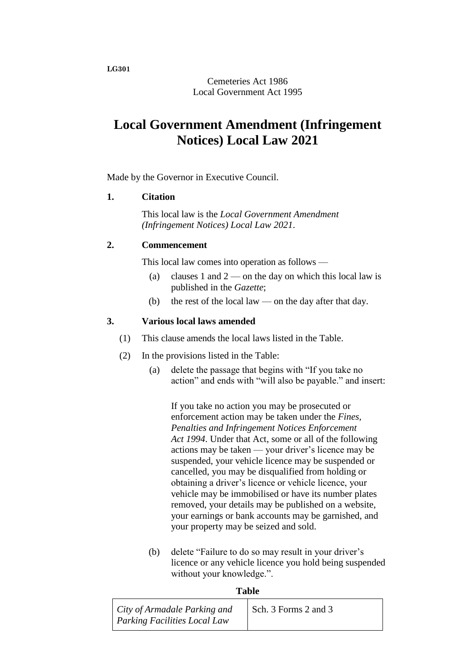**LG301**

Cemeteries Act 1986 Local Government Act 1995

# **Local Government Amendment (Infringement Notices) Local Law 2021**

Made by the Governor in Executive Council.

## **1. Citation**

This local law is the *Local Government Amendment (Infringement Notices) Local Law 2021*.

## **2. Commencement**

This local law comes into operation as follows —

- (a) clauses 1 and  $2$  on the day on which this local law is published in the *Gazette*;
- (b) the rest of the local law on the day after that day.

## **3. Various local laws amended**

- (1) This clause amends the local laws listed in the Table.
- (2) In the provisions listed in the Table:
	- (a) delete the passage that begins with "If you take no action" and ends with "will also be payable." and insert:

If you take no action you may be prosecuted or enforcement action may be taken under the *Fines, Penalties and Infringement Notices Enforcement Act 1994*. Under that Act, some or all of the following actions may be taken — your driver's licence may be suspended, your vehicle licence may be suspended or cancelled, you may be disqualified from holding or obtaining a driver's licence or vehicle licence, your vehicle may be immobilised or have its number plates removed, your details may be published on a website, your earnings or bank accounts may be garnished, and your property may be seized and sold.

(b) delete "Failure to do so may result in your driver's licence or any vehicle licence you hold being suspended without your knowledge.".

#### **Table**

| City of Armadale Parking and | Sch. 3 Forms 2 and 3 |
|------------------------------|----------------------|
| Parking Facilities Local Law |                      |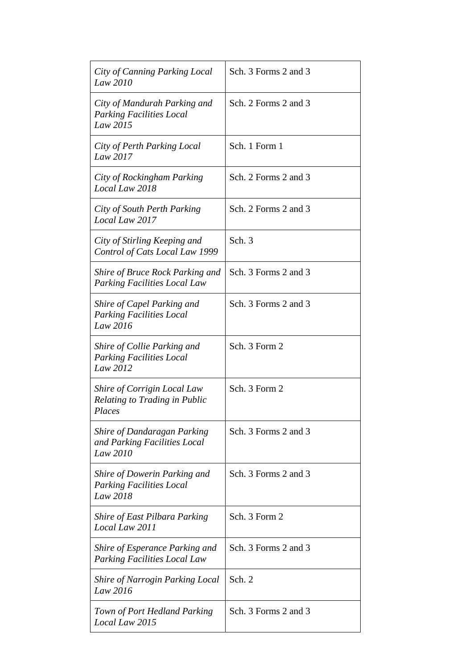| City of Canning Parking Local<br>Law 2010                                      | Sch. 3 Forms 2 and 3 |
|--------------------------------------------------------------------------------|----------------------|
| City of Mandurah Parking and<br><b>Parking Facilities Local</b><br>Law 2015    | Sch. 2 Forms 2 and 3 |
| City of Perth Parking Local<br>Law 2017                                        | Sch. 1 Form 1        |
| City of Rockingham Parking<br>Local Law 2018                                   | Sch. 2 Forms 2 and 3 |
| City of South Perth Parking<br>Local Law 2017                                  | Sch. 2 Forms 2 and 3 |
| City of Stirling Keeping and<br>Control of Cats Local Law 1999                 | Sch. 3               |
| Shire of Bruce Rock Parking and<br><b>Parking Facilities Local Law</b>         | Sch. 3 Forms 2 and 3 |
| Shire of Capel Parking and<br><b>Parking Facilities Local</b><br>Law 2016      | Sch. 3 Forms 2 and 3 |
| Shire of Collie Parking and<br><b>Parking Facilities Local</b><br>Law 2012     | Sch. 3 Form 2        |
| Shire of Corrigin Local Law<br>Relating to Trading in Public<br>Places         | Sch. 3 Form 2        |
| <b>Shire of Dandaragan Parking</b><br>and Parking Facilities Local<br>Law 2010 | Sch. 3 Forms 2 and 3 |
| Shire of Dowerin Parking and<br><b>Parking Facilities Local</b><br>Law 2018    | Sch. 3 Forms 2 and 3 |
| Shire of East Pilbara Parking<br>Local Law 2011                                | Sch. 3 Form 2        |
| Shire of Esperance Parking and<br><b>Parking Facilities Local Law</b>          | Sch. 3 Forms 2 and 3 |
| <b>Shire of Narrogin Parking Local</b><br>Law 2016                             | Sch. 2               |
| Town of Port Hedland Parking<br>Local Law 2015                                 | Sch. 3 Forms 2 and 3 |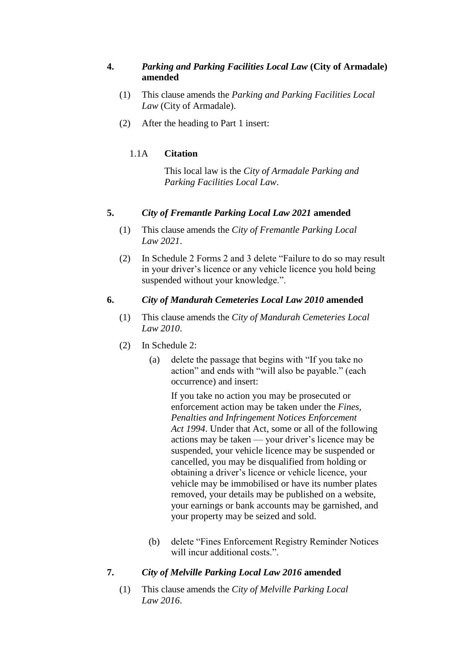## **4.** *Parking and Parking Facilities Local Law* **(City of Armadale) amended**

- (1) This clause amends the *Parking and Parking Facilities Local Law* (City of Armadale).
- (2) After the heading to Part 1 insert:

# 1.1A **Citation**

This local law is the *City of Armadale Parking and Parking Facilities Local Law*.

## **5.** *City of Fremantle Parking Local Law 2021* **amended**

- (1) This clause amends the *City of Fremantle Parking Local Law 2021*.
- (2) In Schedule 2 Forms 2 and 3 delete "Failure to do so may result in your driver's licence or any vehicle licence you hold being suspended without your knowledge.".

## **6.** *City of Mandurah Cemeteries Local Law 2010* **amended**

- (1) This clause amends the *City of Mandurah Cemeteries Local Law 2010*.
- (2) In Schedule 2:
	- (a) delete the passage that begins with "If you take no action" and ends with "will also be payable." (each occurrence) and insert:

If you take no action you may be prosecuted or enforcement action may be taken under the *Fines, Penalties and Infringement Notices Enforcement Act 1994*. Under that Act, some or all of the following actions may be taken — your driver's licence may be suspended, your vehicle licence may be suspended or cancelled, you may be disqualified from holding or obtaining a driver's licence or vehicle licence, your vehicle may be immobilised or have its number plates removed, your details may be published on a website, your earnings or bank accounts may be garnished, and your property may be seized and sold.

(b) delete "Fines Enforcement Registry Reminder Notices will incur additional costs.".

# **7.** *City of Melville Parking Local Law 2016* **amended**

(1) This clause amends the *City of Melville Parking Local Law 2016*.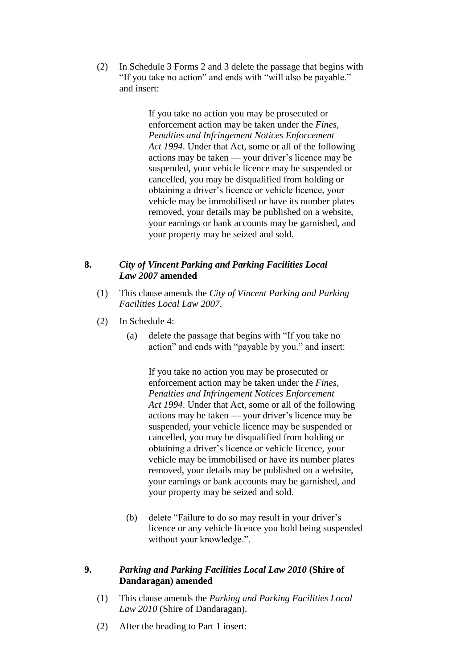(2) In Schedule 3 Forms 2 and 3 delete the passage that begins with "If you take no action" and ends with "will also be payable." and insert:

> If you take no action you may be prosecuted or enforcement action may be taken under the *Fines, Penalties and Infringement Notices Enforcement Act 1994*. Under that Act, some or all of the following actions may be taken — your driver's licence may be suspended, your vehicle licence may be suspended or cancelled, you may be disqualified from holding or obtaining a driver's licence or vehicle licence, your vehicle may be immobilised or have its number plates removed, your details may be published on a website, your earnings or bank accounts may be garnished, and your property may be seized and sold.

#### **8.** *City of Vincent Parking and Parking Facilities Local Law 2007* **amended**

- (1) This clause amends the *City of Vincent Parking and Parking Facilities Local Law 2007*.
- (2) In Schedule 4:
	- (a) delete the passage that begins with "If you take no action" and ends with "payable by you." and insert:

If you take no action you may be prosecuted or enforcement action may be taken under the *Fines, Penalties and Infringement Notices Enforcement Act 1994*. Under that Act, some or all of the following actions may be taken — your driver's licence may be suspended, your vehicle licence may be suspended or cancelled, you may be disqualified from holding or obtaining a driver's licence or vehicle licence, your vehicle may be immobilised or have its number plates removed, your details may be published on a website, your earnings or bank accounts may be garnished, and your property may be seized and sold.

(b) delete "Failure to do so may result in your driver's licence or any vehicle licence you hold being suspended without your knowledge.".

## **9.** *Parking and Parking Facilities Local Law 2010* **(Shire of Dandaragan) amended**

- (1) This clause amends the *Parking and Parking Facilities Local Law 2010* (Shire of Dandaragan).
- (2) After the heading to Part 1 insert: